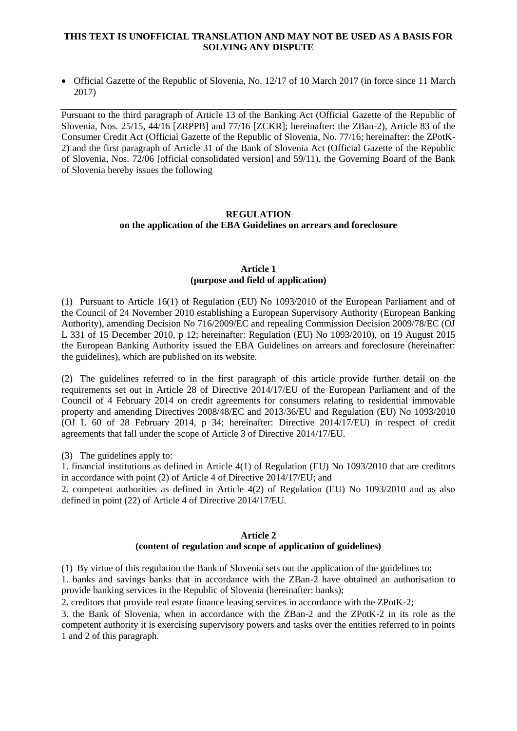## **THIS TEXT IS UNOFFICIAL TRANSLATION AND MAY NOT BE USED AS A BASIS FOR SOLVING ANY DISPUTE**

 Official Gazette of the Republic of Slovenia, No. 12/17 of 10 March 2017 (in force since 11 March 2017)

Pursuant to the third paragraph of Article 13 of the Banking Act (Official Gazette of the Republic of Slovenia, Nos. 25/15, 44/16 [ZRPPB] and 77/16 [ZCKR]; hereinafter: the ZBan-2), Article 83 of the Consumer Credit Act (Official Gazette of the Republic of Slovenia, No. 77/16; hereinafter: the ZPotK-2) and the first paragraph of Article 31 of the Bank of Slovenia Act (Official Gazette of the Republic of Slovenia, Nos. 72/06 [official consolidated version] and 59/11), the Governing Board of the Bank of Slovenia hereby issues the following

# **REGULATION on the application of the EBA Guidelines on arrears and foreclosure**

## **Article 1 (purpose and field of application)**

(1) Pursuant to Article 16(1) of Regulation (EU) No 1093/2010 of the European Parliament and of the Council of 24 November 2010 establishing a European Supervisory Authority (European Banking Authority), amending Decision No 716/2009/EC and repealing Commission Decision 2009/78/EC (OJ L 331 of 15 December 2010, p 12; hereinafter: Regulation (EU) No 1093/2010), on 19 August 2015 the European Banking Authority issued the EBA Guidelines on arrears and foreclosure (hereinafter: the guidelines), which are published on its website.

(2) The guidelines referred to in the first paragraph of this article provide further detail on the requirements set out in Article 28 of Directive 2014/17/EU of the European Parliament and of the Council of 4 February 2014 on credit agreements for consumers relating to residential immovable property and amending Directives 2008/48/EC and 2013/36/EU and Regulation (EU) No 1093/2010 (OJ L 60 of 28 February 2014, p 34; hereinafter: Directive 2014/17/EU) in respect of credit agreements that fall under the scope of Article 3 of Directive 2014/17/EU.

(3) The guidelines apply to:

1. financial institutions as defined in Article 4(1) of Regulation (EU) No 1093/2010 that are creditors in accordance with point (2) of Article 4 of Directive 2014/17/EU; and

2. competent authorities as defined in Article 4(2) of Regulation (EU) No 1093/2010 and as also defined in point (22) of Article 4 of Directive 2014/17/EU.

#### **Article 2 (content of regulation and scope of application of guidelines)**

(1) By virtue of this regulation the Bank of Slovenia sets out the application of the guidelines to:

1. banks and savings banks that in accordance with the ZBan-2 have obtained an authorisation to provide banking services in the Republic of Slovenia (hereinafter: banks);

2. creditors that provide real estate finance leasing services in accordance with the ZPotK-2;

3. the Bank of Slovenia, when in accordance with the ZBan-2 and the ZPotK-2 in its role as the competent authority it is exercising supervisory powers and tasks over the entities referred to in points 1 and 2 of this paragraph.